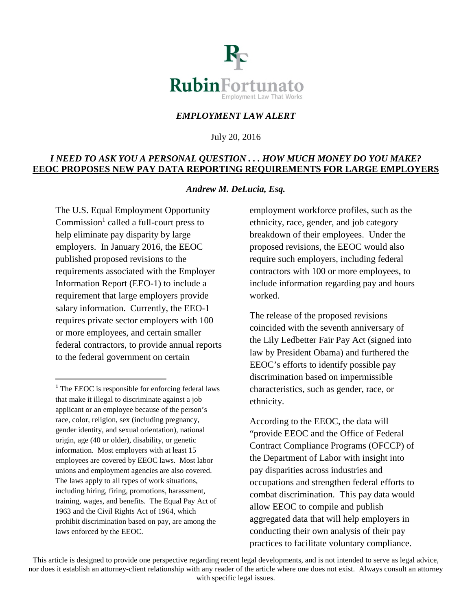

## *EMPLOYMENT LAW ALERT*

July 20, 2016

### *I NEED TO ASK YOU A PERSONAL QUESTION . . . HOW MUCH MONEY DO YOU MAKE?* **EEOC PROPOSES NEW PAY DATA REPORTING REQUIREMENTS FOR LARGE EMPLOYERS**

#### *Andrew M. DeLucia, Esq.*

The U.S. Equal Employment Opportunity Commission<sup>[1](#page-0-0)</sup> called a full-court press to help eliminate pay disparity by large employers. In January 2016, the EEOC published proposed revisions to the requirements associated with the Employer Information Report (EEO-1) to include a requirement that large employers provide salary information. Currently, the EEO-1 requires private sector employers with 100 or more employees, and certain smaller federal contractors, to provide annual reports to the federal government on certain

employment workforce profiles, such as the ethnicity, race, gender, and job category breakdown of their employees. Under the proposed revisions, the EEOC would also require such employers, including federal contractors with 100 or more employees, to include information regarding pay and hours worked.

The release of the proposed revisions coincided with the seventh anniversary of the Lily Ledbetter Fair Pay Act (signed into law by President Obama) and furthered the EEOC's efforts to identify possible pay discrimination based on impermissible characteristics, such as gender, race, or ethnicity.

According to the EEOC, the data will "provide EEOC and the Office of Federal Contract Compliance Programs (OFCCP) of the Department of Labor with insight into pay disparities across industries and occupations and strengthen federal efforts to combat discrimination. This pay data would allow EEOC to compile and publish aggregated data that will help employers in conducting their own analysis of their pay practices to facilitate voluntary compliance.

This article is designed to provide one perspective regarding recent legal developments, and is not intended to serve as legal advice, nor does it establish an attorney-client relationship with any reader of the article where one does not exist. Always consult an attorney with specific legal issues.

<span id="page-0-0"></span> $1$ <sup>1</sup> The EEOC is responsible for enforcing federal laws that make it illegal to discriminate against a job applicant or an employee because of the person's race, color, religion, sex (including pregnancy, gender identity, and sexual orientation), national origin, age (40 or older), disability, or genetic information. Most employers with at least 15 employees are covered by EEOC laws. Most labor unions and employment agencies are also covered. The laws apply to all types of work situations, including hiring, firing, promotions, harassment, training, wages, and benefits. The Equal Pay Act of 1963 and the Civil Rights Act of 1964, which prohibit discrimination based on pay, are among the laws enforced by the EEOC.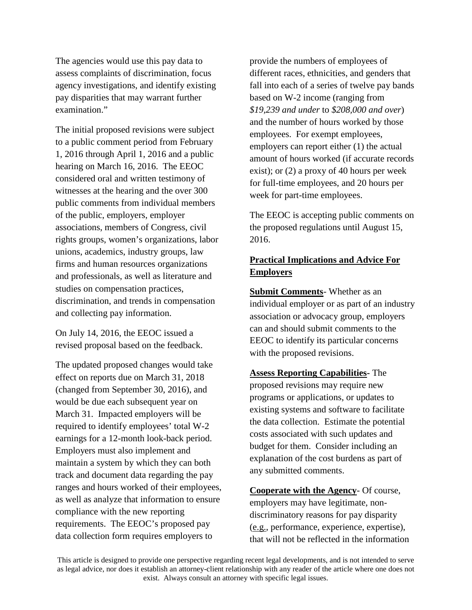The agencies would use this pay data to assess complaints of discrimination, focus agency investigations, and identify existing pay disparities that may warrant further examination."

The initial proposed revisions were subject to a public comment period from February 1, 2016 through April 1, 2016 and a public hearing on March 16, 2016. The EEOC considered oral and written testimony of witnesses at the hearing and the over 300 public comments from individual members of the public, employers, employer associations, members of Congress, civil rights groups, women's organizations, labor unions, academics, industry groups, law firms and human resources organizations and professionals, as well as literature and studies on compensation practices, discrimination, and trends in compensation and collecting pay information.

On July 14, 2016, the EEOC issued a revised proposal based on the feedback.

The updated proposed changes would take effect on reports due on March 31, 2018 (changed from September 30, 2016), and would be due each subsequent year on March 31. Impacted employers will be required to identify employees' total W-2 earnings for a 12-month look-back period. Employers must also implement and maintain a system by which they can both track and document data regarding the pay ranges and hours worked of their employees, as well as analyze that information to ensure compliance with the new reporting requirements. The EEOC's proposed pay data collection form requires employers to

provide the numbers of employees of different races, ethnicities, and genders that fall into each of a series of twelve pay bands based on W-2 income (ranging from *\$19,239 and under* to *\$208,000 and over*) and the number of hours worked by those employees. For exempt employees, employers can report either (1) the actual amount of hours worked (if accurate records exist); or (2) a proxy of 40 hours per week for full-time employees, and 20 hours per week for part-time employees.

The EEOC is accepting public comments on the proposed regulations until August 15, 2016.

# **Practical Implications and Advice For Employers**

**Submit Comments**- Whether as an individual employer or as part of an industry association or advocacy group, employers can and should submit comments to the EEOC to identify its particular concerns with the proposed revisions.

**Assess Reporting Capabilities-** The proposed revisions may require new programs or applications, or updates to existing systems and software to facilitate the data collection. Estimate the potential costs associated with such updates and budget for them. Consider including an explanation of the cost burdens as part of any submitted comments.

**Cooperate with the Agency**- Of course, employers may have legitimate, nondiscriminatory reasons for pay disparity (e.g., performance, experience, expertise), that will not be reflected in the information

This article is designed to provide one perspective regarding recent legal developments, and is not intended to serve as legal advice, nor does it establish an attorney-client relationship with any reader of the article where one does not exist. Always consult an attorney with specific legal issues.